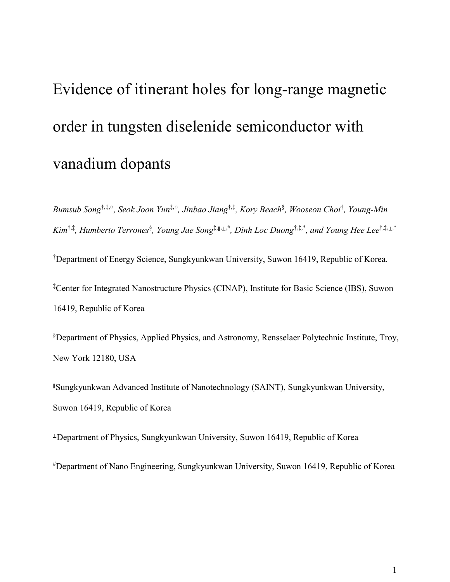# Evidence of itinerant holes for long-range magnetic order in tungsten diselenide semiconductor with vanadium dopants

*Bumsub Song*†,‡,○ *, Seok Joon Yun*‡,○ *, Jinbao Jiang*†,‡*, Kory Beach*§ *, Wooseon Choi*† *, Young-Min Kim*†,‡*, Humberto Terrones*§ *, Young Jae Song*‡,∥,⊥,#*, Dinh Loc Duong*†,‡,\* *, and Young Hee Lee*†,‡,⊥,\*

†Department of Energy Science, Sungkyunkwan University, Suwon 16419, Republic of Korea. ‡Center for Integrated Nanostructure Physics (CINAP), Institute for Basic Science (IBS), Suwon

16419, Republic of Korea

§Department of Physics, Applied Physics, and Astronomy, Rensselaer Polytechnic Institute, Troy, New York 12180, USA

<sup>∥</sup>Sungkyunkwan Advanced Institute of Nanotechnology (SAINT), Sungkyunkwan University, Suwon 16419, Republic of Korea

<sup>⊥</sup>Department of Physics, Sungkyunkwan University, Suwon 16419, Republic of Korea

#Department of Nano Engineering, Sungkyunkwan University, Suwon 16419, Republic of Korea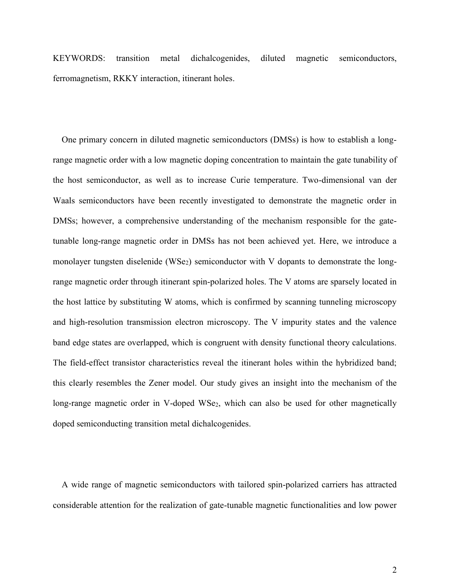KEYWORDS: transition metal dichalcogenides, diluted magnetic semiconductors, ferromagnetism, RKKY interaction, itinerant holes.

One primary concern in diluted magnetic semiconductors (DMSs) is how to establish a longrange magnetic order with a low magnetic doping concentration to maintain the gate tunability of the host semiconductor, as well as to increase Curie temperature. Two-dimensional van der Waals semiconductors have been recently investigated to demonstrate the magnetic order in DMSs; however, a comprehensive understanding of the mechanism responsible for the gatetunable long-range magnetic order in DMSs has not been achieved yet. Here, we introduce a monolayer tungsten diselenide (WSe<sub>2</sub>) semiconductor with V dopants to demonstrate the longrange magnetic order through itinerant spin-polarized holes. The V atoms are sparsely located in the host lattice by substituting W atoms, which is confirmed by scanning tunneling microscopy and high-resolution transmission electron microscopy. The V impurity states and the valence band edge states are overlapped, which is congruent with density functional theory calculations. The field-effect transistor characteristics reveal the itinerant holes within the hybridized band; this clearly resembles the Zener model. Our study gives an insight into the mechanism of the long-range magnetic order in V-doped WSe<sub>2</sub>, which can also be used for other magnetically doped semiconducting transition metal dichalcogenides.

A wide range of magnetic semiconductors with tailored spin-polarized carriers has attracted considerable attention for the realization of gate-tunable magnetic functionalities and low power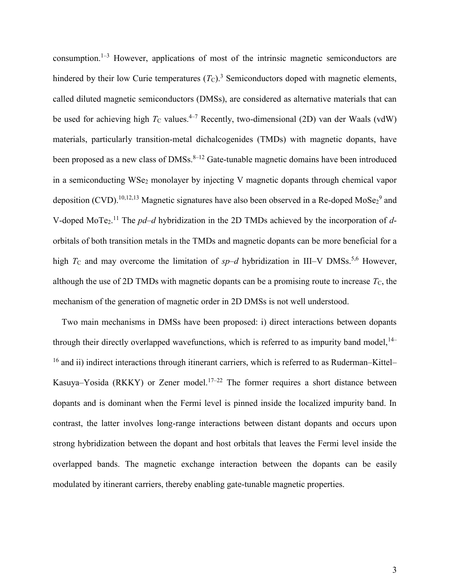consumption.<sup>1–3</sup> However, applications of most of the intrinsic magnetic semiconductors are hindered by their low Curie temperatures  $(T_C)$ .<sup>3</sup> Semiconductors doped with magnetic elements, called diluted magnetic semiconductors (DMSs), are considered as alternative materials that can be used for achieving high  $T_c$  values.<sup>4-7</sup> Recently, two-dimensional (2D) van der Waals (vdW) materials, particularly transition-metal dichalcogenides (TMDs) with magnetic dopants, have been proposed as a new class of  $DMSs$ .<sup>8-12</sup> Gate-tunable magnetic domains have been introduced in a semiconducting WSe<sub>2</sub> monolayer by injecting V magnetic dopants through chemical vapor deposition (CVD).<sup>10,12,13</sup> Magnetic signatures have also been observed in a Re-doped MoSe<sub>2</sub><sup>9</sup> and V-doped MoTe<sub>2</sub>.<sup>11</sup> The *pd-d* hybridization in the 2D TMDs achieved by the incorporation of *d*orbitals of both transition metals in the TMDs and magnetic dopants can be more beneficial for a high  $T_c$  and may overcome the limitation of  $sp-d$  hybridization in III–V DMSs.<sup>5,6</sup> However, although the use of 2D TMDs with magnetic dopants can be a promising route to increase  $T_c$ , the mechanism of the generation of magnetic order in 2D DMSs is not well understood.

Two main mechanisms in DMSs have been proposed: i) direct interactions between dopants through their directly overlapped wavefunctions, which is referred to as impurity band model, <sup>14–</sup> <sup>16</sup> and ii) indirect interactions through itinerant carriers, which is referred to as Ruderman–Kittel– Kasuya–Yosida (RKKY) or Zener model.<sup>17–22</sup> The former requires a short distance between dopants and is dominant when the Fermi level is pinned inside the localized impurity band. In contrast, the latter involves long-range interactions between distant dopants and occurs upon strong hybridization between the dopant and host orbitals that leaves the Fermi level inside the overlapped bands. The magnetic exchange interaction between the dopants can be easily modulated by itinerant carriers, thereby enabling gate-tunable magnetic properties.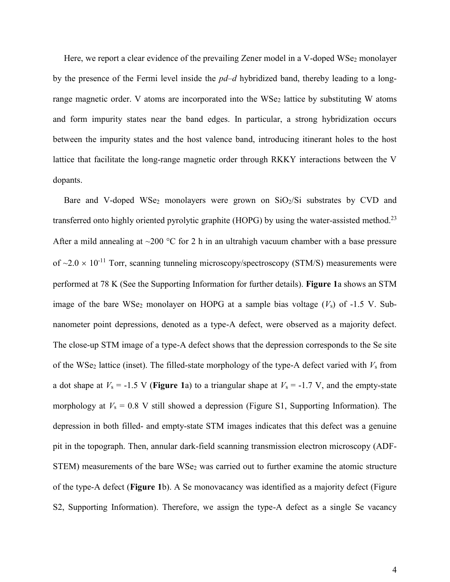Here, we report a clear evidence of the prevailing Zener model in a V-doped WSe<sub>2</sub> monolayer by the presence of the Fermi level inside the *pd–d* hybridized band, thereby leading to a longrange magnetic order. V atoms are incorporated into the  $WSe<sub>2</sub>$  lattice by substituting W atoms and form impurity states near the band edges. In particular, a strong hybridization occurs between the impurity states and the host valence band, introducing itinerant holes to the host lattice that facilitate the long-range magnetic order through RKKY interactions between the V dopants.

Bare and V-doped WSe<sub>2</sub> monolayers were grown on  $SiO<sub>2</sub>/Si$  substrates by CVD and transferred onto highly oriented pyrolytic graphite (HOPG) by using the water-assisted method.<sup>23</sup> After a mild annealing at  $\sim$ 200 °C for 2 h in an ultrahigh vacuum chamber with a base pressure of  $\sim$ 2.0  $\times$  10<sup>-11</sup> Torr, scanning tunneling microscopy/spectroscopy (STM/S) measurements were performed at 78 K (See the Supporting Information for further details). **Figure 1**a shows an STM image of the bare WSe<sub>2</sub> monolayer on HOPG at a sample bias voltage  $(V<sub>s</sub>)$  of -1.5 V. Subnanometer point depressions, denoted as a type-A defect, were observed as a majority defect. The close-up STM image of a type-A defect shows that the depression corresponds to the Se site of the WSe<sub>2</sub> lattice (inset). The filled-state morphology of the type-A defect varied with  $V_s$  from a dot shape at  $V_s = -1.5$  V (**Figure 1**a) to a triangular shape at  $V_s = -1.7$  V, and the empty-state morphology at  $V_s = 0.8$  V still showed a depression (Figure S1, Supporting Information). The depression in both filled- and empty-state STM images indicates that this defect was a genuine pit in the topograph. Then, annular dark-field scanning transmission electron microscopy (ADF-STEM) measurements of the bare WSe<sub>2</sub> was carried out to further examine the atomic structure of the type-A defect (**Figure 1**b). A Se monovacancy was identified as a majority defect (Figure S2, Supporting Information). Therefore, we assign the type-A defect as a single Se vacancy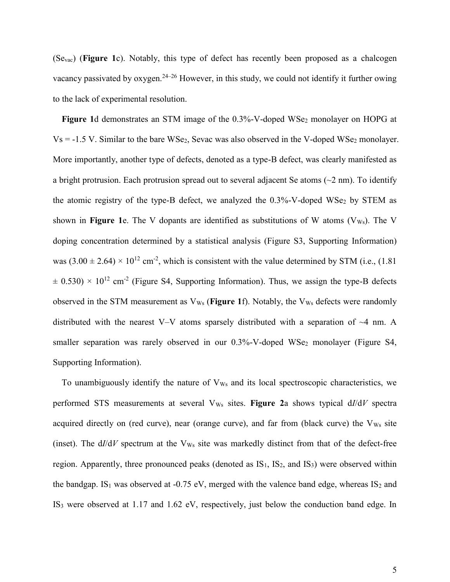(Sevac) (**Figure 1**c). Notably, this type of defect has recently been proposed as a chalcogen vacancy passivated by oxygen.<sup>24–26</sup> However, in this study, we could not identify it further owing to the lack of experimental resolution.

Figure 1d demonstrates an STM image of the 0.3%-V-doped WSe<sub>2</sub> monolayer on HOPG at  $Vs = -1.5 V$ . Similar to the bare WSe<sub>2</sub>, Sevac was also observed in the V-doped WSe<sub>2</sub> monolayer. More importantly, another type of defects, denoted as a type-B defect, was clearly manifested as a bright protrusion. Each protrusion spread out to several adjacent Se atoms  $(\sim 2 \text{ nm})$ . To identify the atomic registry of the type-B defect, we analyzed the  $0.3\%$ -V-doped WSe<sub>2</sub> by STEM as shown in **Figure 1**e. The V dopants are identified as substitutions of W atoms (V<sub>Ws</sub>). The V doping concentration determined by a statistical analysis (Figure S3, Supporting Information) was  $(3.00 \pm 2.64) \times 10^{12}$  cm<sup>-2</sup>, which is consistent with the value determined by STM (i.e., (1.81)  $\pm$  0.530)  $\times$  10<sup>12</sup> cm<sup>-2</sup> (Figure S4, Supporting Information). Thus, we assign the type-B defects observed in the STM measurement as  $V_{Ws}$  (**Figure 1**f). Notably, the  $V_{Ws}$  defects were randomly distributed with the nearest V–V atoms sparsely distributed with a separation of  $\sim$ 4 nm. A smaller separation was rarely observed in our  $0.3\%$ -V-doped WSe<sub>2</sub> monolayer (Figure S4, Supporting Information).

To unambiguously identify the nature of  $V_{Ws}$  and its local spectroscopic characteristics, we performed STS measurements at several  $V_{Ws}$  sites. **Figure 2**a shows typical  $d/dV$  spectra acquired directly on (red curve), near (orange curve), and far from (black curve) the V<sub>Ws</sub> site (inset). The  $d/dV$  spectrum at the  $V_{Ws}$  site was markedly distinct from that of the defect-free region. Apparently, three pronounced peaks (denoted as  $IS<sub>1</sub>$ ,  $IS<sub>2</sub>$ , and  $IS<sub>3</sub>$ ) were observed within the bandgap. IS<sub>1</sub> was observed at -0.75 eV, merged with the valence band edge, whereas IS<sub>2</sub> and IS<sup>3</sup> were observed at 1.17 and 1.62 eV, respectively, just below the conduction band edge. In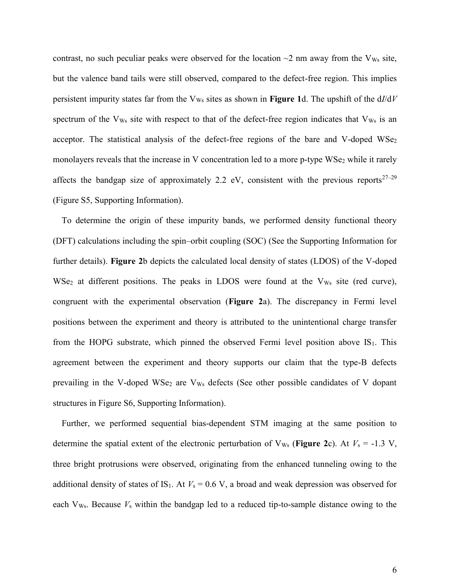contrast, no such peculiar peaks were observed for the location  $\sim$ 2 nm away from the V<sub>Ws</sub> site, but the valence band tails were still observed, compared to the defect-free region. This implies persistent impurity states far from the  $V_{Ws}$  sites as shown in **Figure 1**d. The upshift of the  $dI/dV$ spectrum of the V<sub>Ws</sub> site with respect to that of the defect-free region indicates that V<sub>Ws</sub> is an acceptor. The statistical analysis of the defect-free regions of the bare and V-doped  $WSe<sub>2</sub>$ monolayers reveals that the increase in V concentration led to a more p-type WSe<sub>2</sub> while it rarely affects the bandgap size of approximately 2.2 eV, consistent with the previous reports<sup>27–29</sup> (Figure S5, Supporting Information).

To determine the origin of these impurity bands, we performed density functional theory (DFT) calculations including the spin–orbit coupling (SOC) (See the Supporting Information for further details). **Figure 2**b depicts the calculated local density of states (LDOS) of the V-doped  $WSe<sub>2</sub>$  at different positions. The peaks in LDOS were found at the  $V<sub>Ws</sub>$  site (red curve), congruent with the experimental observation (**Figure 2**a). The discrepancy in Fermi level positions between the experiment and theory is attributed to the unintentional charge transfer from the HOPG substrate, which pinned the observed Fermi level position above  $IS<sub>1</sub>$ . This agreement between the experiment and theory supports our claim that the type-B defects prevailing in the V-doped WSe<sub>2</sub> are V<sub>Ws</sub> defects (See other possible candidates of V dopant structures in Figure S6, Supporting Information).

Further, we performed sequential bias-dependent STM imaging at the same position to determine the spatial extent of the electronic perturbation of  $V_{Ws}$  (**Figure 2**c). At  $V_s = -1.3 V$ , three bright protrusions were observed, originating from the enhanced tunneling owing to the additional density of states of IS<sub>1</sub>. At  $V_s = 0.6$  V, a broad and weak depression was observed for each V<sub>Ws</sub>. Because *V<sub>s</sub>* within the bandgap led to a reduced tip-to-sample distance owing to the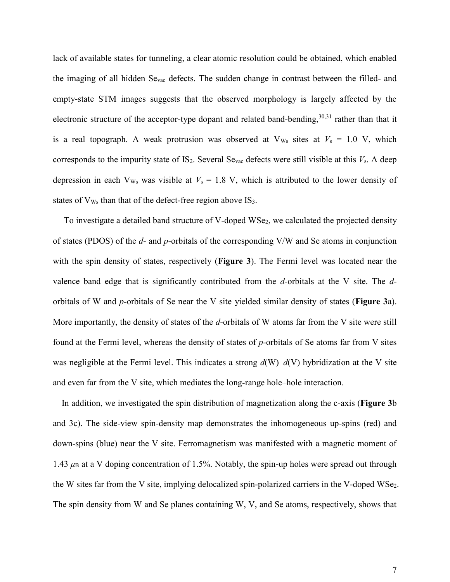lack of available states for tunneling, a clear atomic resolution could be obtained, which enabled the imaging of all hidden Sevac defects. The sudden change in contrast between the filled- and empty-state STM images suggests that the observed morphology is largely affected by the electronic structure of the acceptor-type dopant and related band-bending,  $30,31$  rather than that it is a real topograph. A weak protrusion was observed at  $V_{Ws}$  sites at  $V_s = 1.0$  V, which corresponds to the impurity state of IS2. Several Sevac defects were still visible at this *V*s. A deep depression in each  $V_{\text{Ws}}$  was visible at  $V_s = 1.8$  V, which is attributed to the lower density of states of  $V_{Ws}$  than that of the defect-free region above  $IS_3$ .

To investigate a detailed band structure of V-doped WSe2, we calculated the projected density of states (PDOS) of the *d-* and *p-*orbitals of the corresponding V/W and Se atoms in conjunction with the spin density of states, respectively (**Figure 3**). The Fermi level was located near the valence band edge that is significantly contributed from the *d-*orbitals at the V site. The *d*orbitals of W and *p-*orbitals of Se near the V site yielded similar density of states (**Figure 3**a). More importantly, the density of states of the *d-*orbitals of W atoms far from the V site were still found at the Fermi level, whereas the density of states of *p-*orbitals of Se atoms far from V sites was negligible at the Fermi level. This indicates a strong *d*(W)–*d*(V) hybridization at the V site and even far from the V site, which mediates the long-range hole–hole interaction.

In addition, we investigated the spin distribution of magnetization along the c-axis (**Figure 3**b and 3c). The side-view spin-density map demonstrates the inhomogeneous up-spins (red) and down-spins (blue) near the V site. Ferromagnetism was manifested with a magnetic moment of 1.43  $\mu$ B at a V doping concentration of 1.5%. Notably, the spin-up holes were spread out through the W sites far from the V site, implying delocalized spin-polarized carriers in the V-doped WSe2. The spin density from W and Se planes containing W, V, and Se atoms, respectively, shows that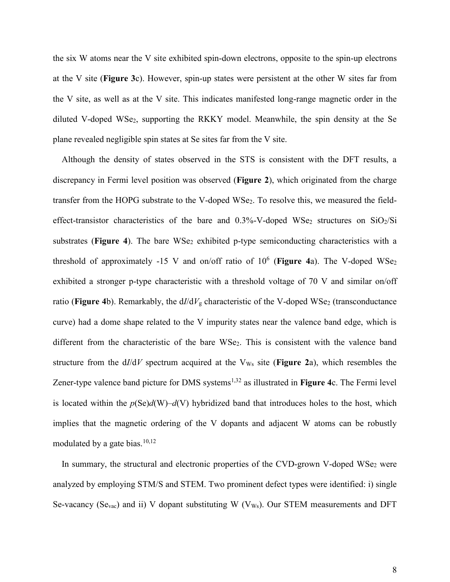the six W atoms near the V site exhibited spin-down electrons, opposite to the spin-up electrons at the V site (**Figure 3**c). However, spin-up states were persistent at the other W sites far from the V site, as well as at the V site. This indicates manifested long-range magnetic order in the diluted V-doped WSe2, supporting the RKKY model. Meanwhile, the spin density at the Se plane revealed negligible spin states at Se sites far from the V site.

Although the density of states observed in the STS is consistent with the DFT results, a discrepancy in Fermi level position was observed (**Figure 2**), which originated from the charge transfer from the HOPG substrate to the V-doped WSe<sub>2</sub>. To resolve this, we measured the fieldeffect-transistor characteristics of the bare and  $0.3\%$ -V-doped WSe<sub>2</sub> structures on SiO<sub>2</sub>/Si substrates (**Figure 4**). The bare WSe<sub>2</sub> exhibited p-type semiconducting characteristics with a threshold of approximately -15 V and on/off ratio of 10<sup>6</sup> (Figure 4a). The V-doped WSe<sub>2</sub> exhibited a stronger p-type characteristic with a threshold voltage of 70 V and similar on/off ratio (**Figure 4**b). Remarkably, the  $d/dV<sub>g</sub>$  characteristic of the V-doped WSe<sub>2</sub> (transconductance curve) had a dome shape related to the V impurity states near the valence band edge, which is different from the characteristic of the bare WSe<sub>2</sub>. This is consistent with the valence band structure from the  $d/dV$  spectrum acquired at the  $V_{Ws}$  site (**Figure 2a**), which resembles the Zener-type valence band picture for DMS systems<sup>1,32</sup> as illustrated in **Figure 4**c. The Fermi level is located within the  $p(\text{Se})d(W)-d(V)$  hybridized band that introduces holes to the host, which implies that the magnetic ordering of the V dopants and adjacent W atoms can be robustly modulated by a gate bias. $10,12$ 

In summary, the structural and electronic properties of the CVD-grown V-doped WSe<sub>2</sub> were analyzed by employing STM/S and STEM. Two prominent defect types were identified: i) single Se-vacancy (Se<sub>vac</sub>) and ii) V dopant substituting W (V<sub>Ws</sub>). Our STEM measurements and DFT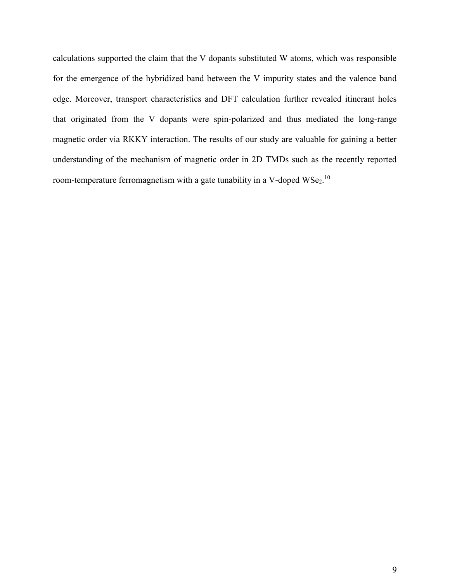calculations supported the claim that the V dopants substituted W atoms, which was responsible for the emergence of the hybridized band between the V impurity states and the valence band edge. Moreover, transport characteristics and DFT calculation further revealed itinerant holes that originated from the V dopants were spin-polarized and thus mediated the long-range magnetic order via RKKY interaction. The results of our study are valuable for gaining a better understanding of the mechanism of magnetic order in 2D TMDs such as the recently reported room-temperature ferromagnetism with a gate tunability in a V-doped  $WSe_2$ .<sup>10</sup>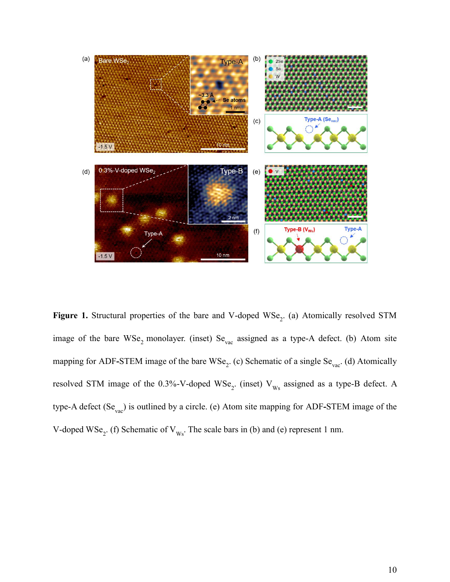

Figure 1. Structural properties of the bare and V-doped WSe<sub>2</sub>. (a) Atomically resolved STM image of the bare  $WSe_2$  monolayer. (inset)  $Se_{vac}$  assigned as a type-A defect. (b) Atom site mapping for ADF-STEM image of the bare WSe<sub>2</sub>. (c) Schematic of a single Se<sub>vac</sub>. (d) Atomically resolved STM image of the 0.3%-V-doped  $WSe_2$ . (inset)  $V_{Ws}$  assigned as a type-B defect. A type-A defect (Se<sub>vac</sub>) is outlined by a circle. (e) Atom site mapping for ADF-STEM image of the V-doped WSe<sub>2</sub>. (f) Schematic of  $V_{Ws}$ . The scale bars in (b) and (e) represent 1 nm.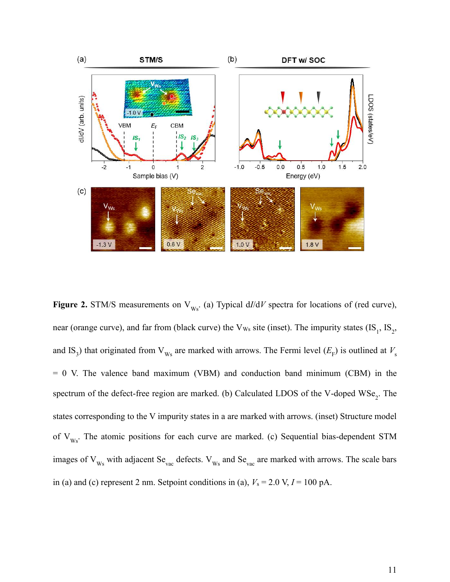

**Figure 2.** STM/S measurements on  $V_{Ws}$ . (a) Typical  $d/dV$  spectra for locations of (red curve), near (orange curve), and far from (black curve) the  $V_{Ws}$  site (inset). The impurity states (IS<sub>1</sub>, IS<sub>2</sub>, and IS<sub>3</sub>) that originated from  $V_{Ws}$  are marked with arrows. The Fermi level  $(E_F)$  is outlined at  $V_s$  $= 0$  V. The valence band maximum (VBM) and conduction band minimum (CBM) in the spectrum of the defect-free region are marked. (b) Calculated LDOS of the V-doped  $WSe_2$ . The states corresponding to the V impurity states in a are marked with arrows. (inset) Structure model of  $V_{Ws}$ . The atomic positions for each curve are marked. (c) Sequential bias-dependent STM images of  $V_{Ws}$  with adjacent Se<sub>vac</sub> defects.  $V_{Ws}$  and Se<sub>vac</sub> are marked with arrows. The scale bars in (a) and (c) represent 2 nm. Setpoint conditions in (a),  $V_s = 2.0 \text{ V}, I = 100 \text{ pA}.$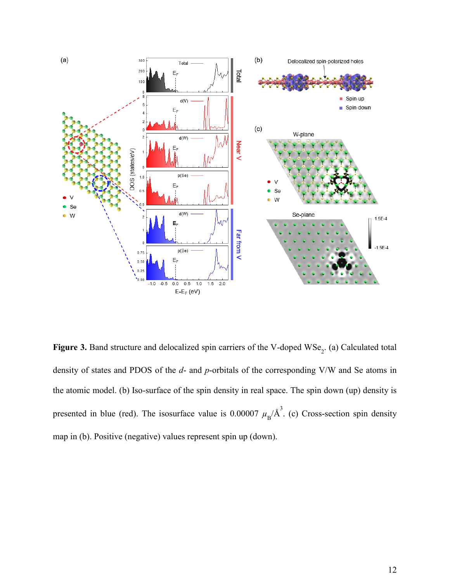

**Figure 3.** Band structure and delocalized spin carriers of the V-doped  $WSe_2$ . (a) Calculated total density of states and PDOS of the *d*- and *p*-orbitals of the corresponding V/W and Se atoms in the atomic model. (b) Iso-surface of the spin density in real space. The spin down (up) density is presented in blue (red). The isosurface value is  $0.00007 \mu_{\rm B}/\text{\AA}^3$ . (c) Cross-section spin density map in (b). Positive (negative) values represent spin up (down).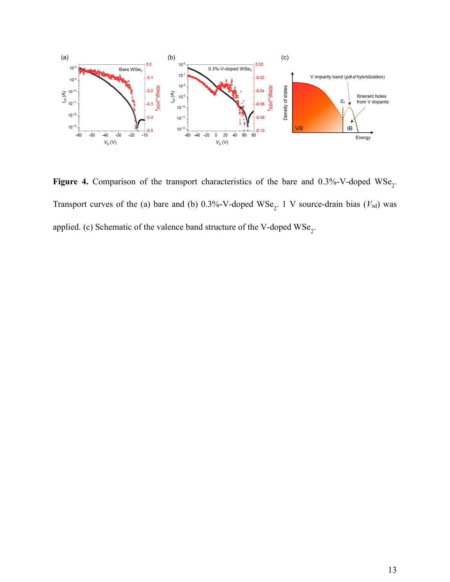

**Figure 4.** Comparison of the transport characteristics of the bare and  $0.3\%$ -V-doped WSe<sub>2</sub>. Transport curves of the (a) bare and (b)  $0.3\%$ -V-doped WSe<sub>2</sub>. 1 V source-drain bias ( $V_{sd}$ ) was applied. (c) Schematic of the valence band structure of the V-doped  $\mathrm{WSe}_{2}$ .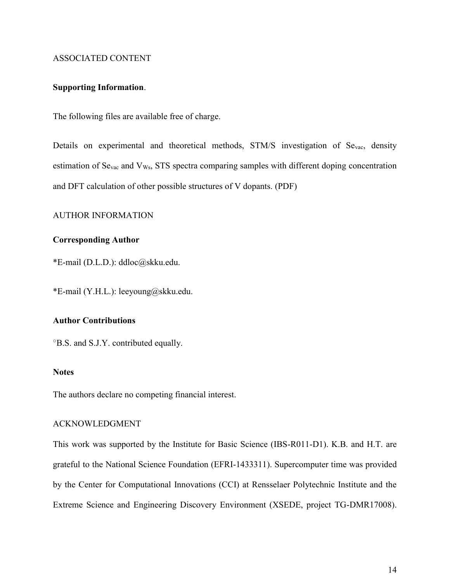# ASSOCIATED CONTENT

### **Supporting Information**.

The following files are available free of charge.

Details on experimental and theoretical methods, STM/S investigation of Se<sub>vac</sub>, density estimation of  $Se_{\text{vac}}$  and  $V_{\text{Ws}}$ , STS spectra comparing samples with different doping concentration and DFT calculation of other possible structures of V dopants. (PDF)

## AUTHOR INFORMATION

# **Corresponding Author**

\*E-mail (D.L.D.): ddloc@skku.edu.

\*E-mail (Y.H.L.): leeyoung@skku.edu.

# **Author Contributions**

<sup>o</sup>B.S. and S.J.Y. contributed equally.

# **Notes**

The authors declare no competing financial interest.

#### ACKNOWLEDGMENT

This work was supported by the Institute for Basic Science (IBS-R011-D1). K.B. and H.T. are grateful to the National Science Foundation (EFRI-1433311). Supercomputer time was provided by the Center for Computational Innovations (CCI) at Rensselaer Polytechnic Institute and the Extreme Science and Engineering Discovery Environment (XSEDE, project TG-DMR17008).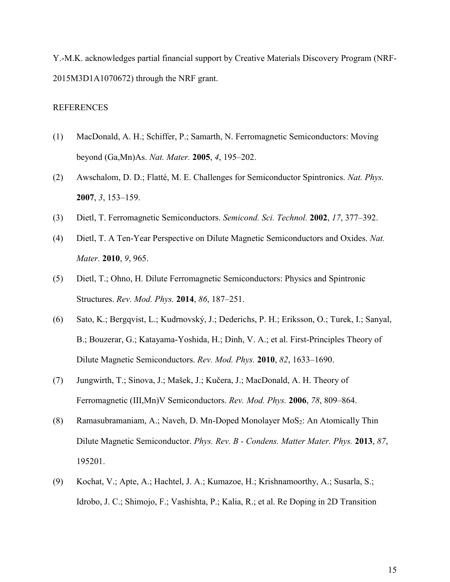Y.-M.K. acknowledges partial financial support by Creative Materials Discovery Program (NRF-2015M3D1A1070672) through the NRF grant.

### REFERENCES

- (1) MacDonald, A. H.; Schiffer, P.; Samarth, N. Ferromagnetic Semiconductors: Moving beyond (Ga,Mn)As. *Nat. Mater.* **2005**, *4*, 195–202.
- (2) Awschalom, D. D.; Flatté, M. E. Challenges for Semiconductor Spintronics. *Nat. Phys.* **2007**, *3*, 153–159.
- (3) Dietl, T. Ferromagnetic Semiconductors. *Semicond. Sci. Technol.* **2002**, *17*, 377–392.
- (4) Dietl, T. A Ten-Year Perspective on Dilute Magnetic Semiconductors and Oxides. *Nat. Mater.* **2010**, *9*, 965.
- (5) Dietl, T.; Ohno, H. Dilute Ferromagnetic Semiconductors: Physics and Spintronic Structures. *Rev. Mod. Phys.* **2014**, *86*, 187–251.
- (6) Sato, K.; Bergqvist, L.; Kudrnovský, J.; Dederichs, P. H.; Eriksson, O.; Turek, I.; Sanyal, B.; Bouzerar, G.; Katayama-Yoshida, H.; Dinh, V. A.; et al. First-Principles Theory of Dilute Magnetic Semiconductors. *Rev. Mod. Phys.* **2010**, *82*, 1633–1690.
- (7) Jungwirth, T.; Sinova, J.; Mašek, J.; Kučera, J.; MacDonald, A. H. Theory of Ferromagnetic (III,Mn)V Semiconductors. *Rev. Mod. Phys.* **2006**, *78*, 809–864.
- (8) Ramasubramaniam, A.; Naveh, D. Mn-Doped Monolayer MoS2: An Atomically Thin Dilute Magnetic Semiconductor. *Phys. Rev. B - Condens. Matter Mater. Phys.* **2013**, *87*, 195201.
- (9) Kochat, V.; Apte, A.; Hachtel, J. A.; Kumazoe, H.; Krishnamoorthy, A.; Susarla, S.; Idrobo, J. C.; Shimojo, F.; Vashishta, P.; Kalia, R.; et al. Re Doping in 2D Transition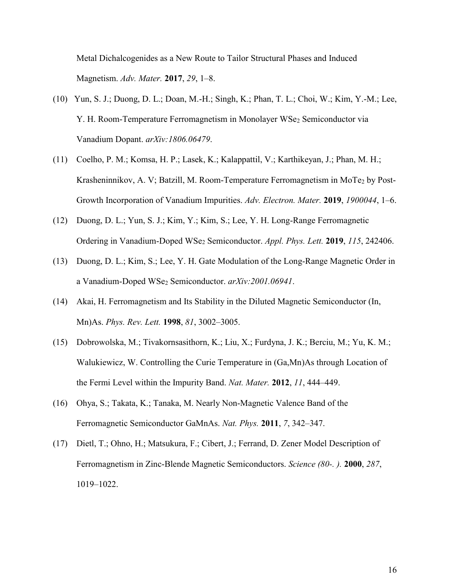Metal Dichalcogenides as a New Route to Tailor Structural Phases and Induced Magnetism. *Adv. Mater.* **2017**, *29*, 1–8.

- (10) Yun, S. J.; Duong, D. L.; Doan, M.-H.; Singh, K.; Phan, T. L.; Choi, W.; Kim, Y.-M.; Lee, Y. H. Room-Temperature Ferromagnetism in Monolayer WSe2 Semiconductor via Vanadium Dopant. *arXiv:1806.06479*.
- (11) Coelho, P. M.; Komsa, H. P.; Lasek, K.; Kalappattil, V.; Karthikeyan, J.; Phan, M. H.; Krasheninnikov, A. V; Batzill, M. Room-Temperature Ferromagnetism in MoTe<sub>2</sub> by Post-Growth Incorporation of Vanadium Impurities. *Adv. Electron. Mater.* **2019**, *1900044*, 1–6.
- (12) Duong, D. L.; Yun, S. J.; Kim, Y.; Kim, S.; Lee, Y. H. Long-Range Ferromagnetic Ordering in Vanadium-Doped WSe<sup>2</sup> Semiconductor. *Appl. Phys. Lett.* **2019**, *115*, 242406.
- (13) Duong, D. L.; Kim, S.; Lee, Y. H. Gate Modulation of the Long-Range Magnetic Order in a Vanadium-Doped WSe<sup>2</sup> Semiconductor. *arXiv:2001.06941*.
- (14) Akai, H. Ferromagnetism and Its Stability in the Diluted Magnetic Semiconductor (In, Mn)As. *Phys. Rev. Lett.* **1998**, *81*, 3002–3005.
- (15) Dobrowolska, M.; Tivakornsasithorn, K.; Liu, X.; Furdyna, J. K.; Berciu, M.; Yu, K. M.; Walukiewicz, W. Controlling the Curie Temperature in (Ga,Mn)As through Location of the Fermi Level within the Impurity Band. *Nat. Mater.* **2012**, *11*, 444–449.
- (16) Ohya, S.; Takata, K.; Tanaka, M. Nearly Non-Magnetic Valence Band of the Ferromagnetic Semiconductor GaMnAs. *Nat. Phys.* **2011**, *7*, 342–347.
- (17) Dietl, T.; Ohno, H.; Matsukura, F.; Cibert, J.; Ferrand, D. Zener Model Description of Ferromagnetism in Zinc-Blende Magnetic Semiconductors. *Science (80-. ).* **2000**, *287*, 1019–1022.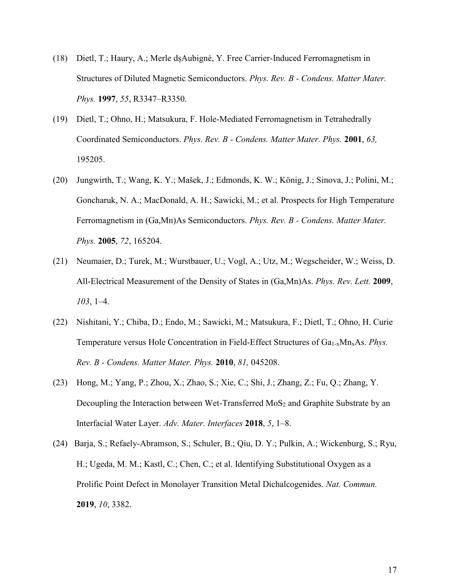- (18) Dietl, T.; Haury, A.; Merle dșAubigné, Y. Free Carrier-Induced Ferromagnetism in Structures of Diluted Magnetic Semiconductors. *Phys. Rev. B - Condens. Matter Mater. Phys.* **1997**, *55*, R3347–R3350.
- (19) Dietl, T.; Ohno, H.; Matsukura, F. Hole-Mediated Ferromagnetism in Tetrahedrally Coordinated Semiconductors. *Phys. Rev. B - Condens. Matter Mater. Phys.* **2001**, *63,* 195205.
- (20) Jungwirth, T.; Wang, K. Y.; Mašek, J.; Edmonds, K. W.; König, J.; Sinova, J.; Polini, M.; Goncharuk, N. A.; MacDonald, A. H.; Sawicki, M.; et al. Prospects for High Temperature Ferromagnetism in (Ga,Mn)As Semiconductors. *Phys. Rev. B - Condens. Matter Mater. Phys.* **2005**, *72*, 165204.
- (21) Neumaier, D.; Turek, M.; Wurstbauer, U.; Vogl, A.; Utz, M.; Wegscheider, W.; Weiss, D. All-Electrical Measurement of the Density of States in (Ga,Mn)As. *Phys. Rev. Lett.* **2009**, *103*, 1–4.
- (22) Nishitani, Y.; Chiba, D.; Endo, M.; Sawicki, M.; Matsukura, F.; Dietl, T.; Ohno, H. Curie Temperature versus Hole Concentration in Field-Effect Structures of Ga<sub>1-x</sub>Mn<sub>x</sub>As. *Phys. Rev. B - Condens. Matter Mater. Phys.* **2010**, *81,* 045208.
- (23) Hong, M.; Yang, P.; Zhou, X.; Zhao, S.; Xie, C.; Shi, J.; Zhang, Z.; Fu, Q.; Zhang, Y. Decoupling the Interaction between Wet-Transferred MoS<sub>2</sub> and Graphite Substrate by an Interfacial Water Layer. *Adv. Mater. Interfaces* **2018**, *5*, 1–8.
- (24) Barja, S.; Refaely-Abramson, S.; Schuler, B.; Qiu, D. Y.; Pulkin, A.; Wickenburg, S.; Ryu, H.; Ugeda, M. M.; Kastl, C.; Chen, C.; et al. Identifying Substitutional Oxygen as a Prolific Point Defect in Monolayer Transition Metal Dichalcogenides. *Nat. Commun.* **2019**, *10*, 3382.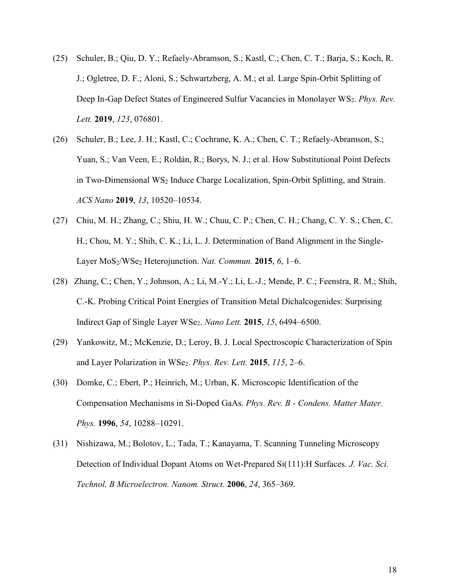- (25) Schuler, B.; Qiu, D. Y.; Refaely-Abramson, S.; Kastl, C.; Chen, C. T.; Barja, S.; Koch, R. J.; Ogletree, D. F.; Aloni, S.; Schwartzberg, A. M.; et al. Large Spin-Orbit Splitting of Deep In-Gap Defect States of Engineered Sulfur Vacancies in Monolayer WS<sub>2</sub>. *Phys. Rev. Lett.* **2019**, *123*, 076801.
- (26) Schuler, B.; Lee, J. H.; Kastl, C.; Cochrane, K. A.; Chen, C. T.; Refaely-Abramson, S.; Yuan, S.; Van Veen, E.; Roldán, R.; Borys, N. J.; et al. How Substitutional Point Defects in Two-Dimensional WS<sup>2</sup> Induce Charge Localization, Spin-Orbit Splitting, and Strain. *ACS Nano* **2019**, *13*, 10520–10534.
- (27) Chiu, M. H.; Zhang, C.; Shiu, H. W.; Chuu, C. P.; Chen, C. H.; Chang, C. Y. S.; Chen, C. H.; Chou, M. Y.; Shih, C. K.; Li, L. J. Determination of Band Alignment in the Single-Layer MoS2/WSe<sup>2</sup> Heterojunction. *Nat. Commun.* **2015**, *6*, 1–6.
- (28) Zhang, C.; Chen, Y.; Johnson, A.; Li, M.-Y.; Li, L.-J.; Mende, P. C.; Feenstra, R. M.; Shih, C.-K. Probing Critical Point Energies of Transition Metal Dichalcogenides: Surprising Indirect Gap of Single Layer WSe2. *Nano Lett.* **2015**, *15*, 6494–6500.
- (29) Yankowitz, M.; McKenzie, D.; Leroy, B. J. Local Spectroscopic Characterization of Spin and Layer Polarization in WSe2. *Phys. Rev. Lett.* **2015**, *115*, 2–6.
- (30) Domke, C.; Ebert, P.; Heinrich, M.; Urban, K. Microscopic Identification of the Compensation Mechanisms in Si-Doped GaAs. *Phys. Rev. B - Condens. Matter Mater. Phys.* **1996**, *54*, 10288–10291.
- (31) Nishizawa, M.; Bolotov, L.; Tada, T.; Kanayama, T. Scanning Tunneling Microscopy Detection of Individual Dopant Atoms on Wet-Prepared Si(111):H Surfaces. *J. Vac. Sci. Technol. B Microelectron. Nanom. Struct.* **2006**, *24*, 365–369.